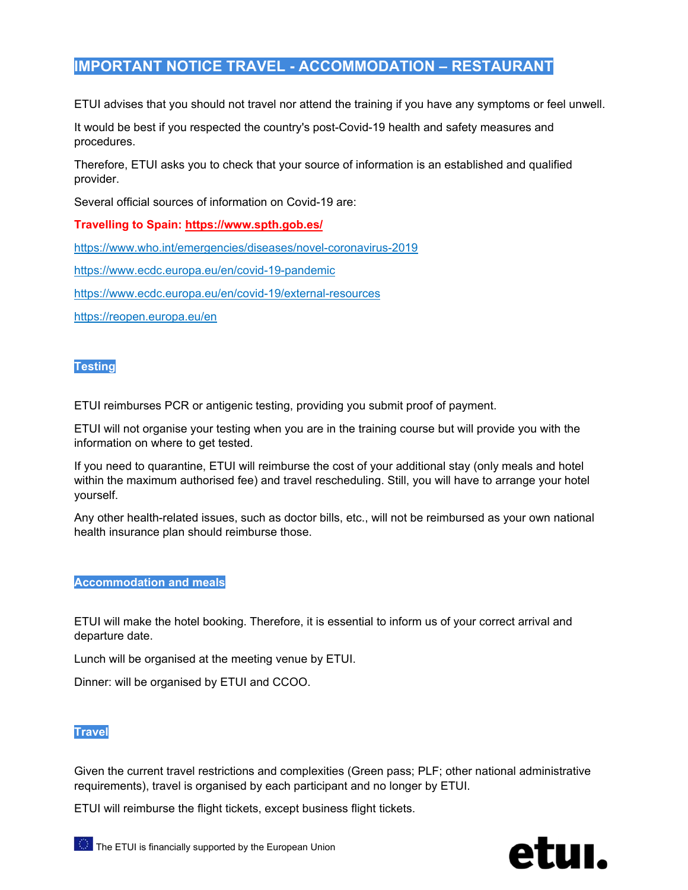# **IMPORTANT NOTICE TRAVEL - ACCOMMODATION – RESTAURANT**

ETUI advises that you should not travel nor attend the training if you have any symptoms or feel unwell.

It would be best if you respected the country's post-Covid-19 health and safety measures and procedures.

Therefore, ETUI asks you to check that your source of information is an established and qualified provider.

Several official sources of information on Covid-19 are:

## **Travelling to Spain: https://www.spth.gob.es/**

https://www.who.int/emergencies/diseases/novel-coronavirus-2019

https://www.ecdc.europa.eu/en/covid-19-pandemic

https://www.ecdc.europa.eu/en/covid-19/external-resources

https://reopen.europa.eu/en

### **Testing**

ETUI reimburses PCR or antigenic testing, providing you submit proof of payment.

ETUI will not organise your testing when you are in the training course but will provide you with the information on where to get tested.

If you need to quarantine, ETUI will reimburse the cost of your additional stay (only meals and hotel within the maximum authorised fee) and travel rescheduling. Still, you will have to arrange your hotel yourself.

Any other health-related issues, such as doctor bills, etc., will not be reimbursed as your own national health insurance plan should reimburse those.

### **Accommodation and meals**

ETUI will make the hotel booking. Therefore, it is essential to inform us of your correct arrival and departure date.

Lunch will be organised at the meeting venue by ETUI.

Dinner: will be organised by ETUI and CCOO.

### **Travel**

Given the current travel restrictions and complexities (Green pass; PLF; other national administrative requirements), travel is organised by each participant and no longer by ETUI.

ETUI will reimburse the flight tickets, except business flight tickets.